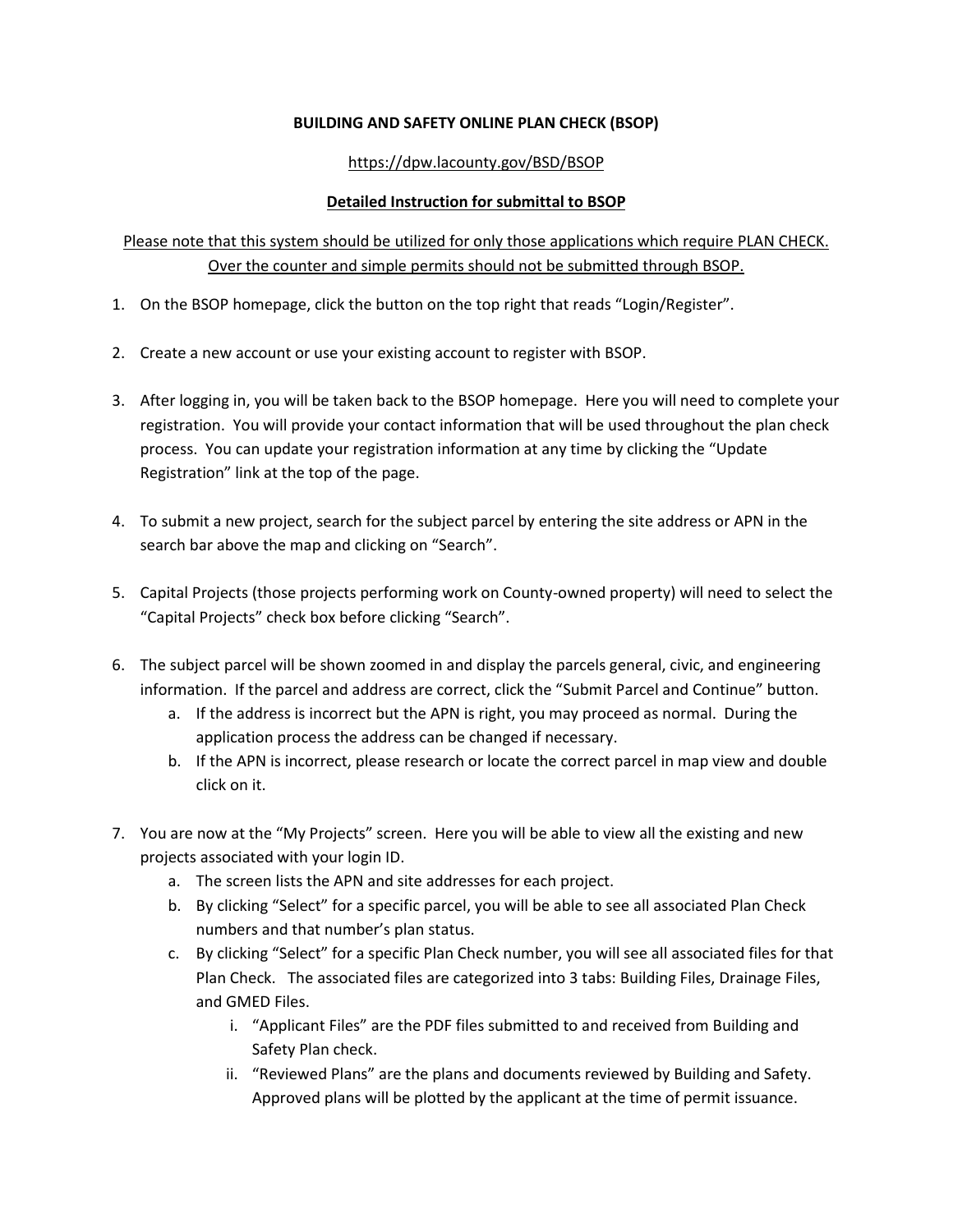## **BUILDING AND SAFETY ONLINE PLAN CHECK (BSOP)**

## https://dpw.lacounty.gov/BSD/BSOP

## **Detailed Instruction for submittal to BSOP**

## Please note that this system should be utilized for only those applications which require PLAN CHECK. Over the counter and simple permits should not be submitted through BSOP.

- 1. On the BSOP homepage, click the button on the top right that reads "Login/Register".
- 2. Create a new account or use your existing account to register with BSOP.
- 3. After logging in, you will be taken back to the BSOP homepage. Here you will need to complete your registration. You will provide your contact information that will be used throughout the plan check process. You can update your registration information at any time by clicking the "Update Registration" link at the top of the page.
- 4. To submit a new project, search for the subject parcel by entering the site address or APN in the search bar above the map and clicking on "Search".
- 5. Capital Projects (those projects performing work on County-owned property) will need to select the "Capital Projects" check box before clicking "Search".
- 6. The subject parcel will be shown zoomed in and display the parcels general, civic, and engineering information. If the parcel and address are correct, click the "Submit Parcel and Continue" button.
	- a. If the address is incorrect but the APN is right, you may proceed as normal. During the application process the address can be changed if necessary.
	- b. If the APN is incorrect, please research or locate the correct parcel in map view and double click on it.
- 7. You are now at the "My Projects" screen. Here you will be able to view all the existing and new projects associated with your login ID.
	- a. The screen lists the APN and site addresses for each project.
	- b. By clicking "Select" for a specific parcel, you will be able to see all associated Plan Check numbers and that number's plan status.
	- c. By clicking "Select" for a specific Plan Check number, you will see all associated files for that Plan Check. The associated files are categorized into 3 tabs: Building Files, Drainage Files, and GMED Files.
		- i. "Applicant Files" are the PDF files submitted to and received from Building and Safety Plan check.
		- ii. "Reviewed Plans" are the plans and documents reviewed by Building and Safety. Approved plans will be plotted by the applicant at the time of permit issuance.